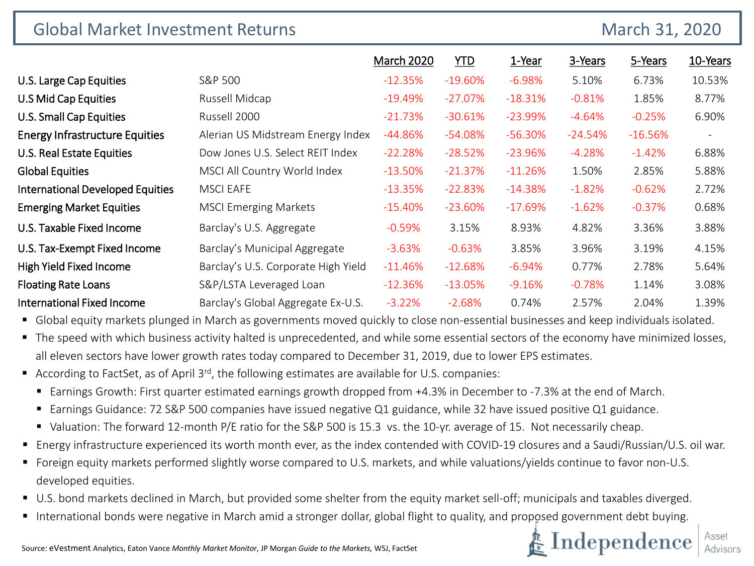| <b>Global Market Investment Returns</b> |                                     |                   |            |           | March 31, 2020 |           |                          |
|-----------------------------------------|-------------------------------------|-------------------|------------|-----------|----------------|-----------|--------------------------|
|                                         |                                     | <b>March 2020</b> | <b>YTD</b> | 1-Year    | 3-Years        | 5-Years   | 10-Years                 |
| U.S. Large Cap Equities                 | S&P 500                             | $-12.35%$         | $-19.60\%$ | $-6.98%$  | 5.10%          | 6.73%     | 10.53%                   |
| U.S Mid Cap Equities                    | Russell Midcap                      | $-19.49\%$        | $-27.07%$  | $-18.31%$ | $-0.81%$       | 1.85%     | 8.77%                    |
| U.S. Small Cap Equities                 | Russell 2000                        | $-21.73%$         | $-30.61%$  | $-23.99%$ | $-4.64%$       | $-0.25%$  | 6.90%                    |
| <b>Energy Infrastructure Equities</b>   | Alerian US Midstream Energy Index   | $-44.86%$         | $-54.08%$  | $-56.30%$ | $-24.54%$      | $-16.56%$ | $\overline{\phantom{a}}$ |
| <b>U.S. Real Estate Equities</b>        | Dow Jones U.S. Select REIT Index    | $-22.28%$         | $-28.52%$  | $-23.96%$ | $-4.28%$       | $-1.42%$  | 6.88%                    |
| <b>Global Equities</b>                  | MSCI All Country World Index        | $-13.50%$         | $-21.37%$  | $-11.26%$ | 1.50%          | 2.85%     | 5.88%                    |
| International Developed Equities        | <b>MSCI EAFE</b>                    | $-13.35%$         | $-22.83%$  | $-14.38%$ | $-1.82%$       | $-0.62%$  | 2.72%                    |
| <b>Emerging Market Equities</b>         | <b>MSCI Emerging Markets</b>        | $-15.40\%$        | $-23.60%$  | $-17.69%$ | $-1.62%$       | $-0.37%$  | 0.68%                    |
| U.S. Taxable Fixed Income               | Barclay's U.S. Aggregate            | $-0.59%$          | 3.15%      | 8.93%     | 4.82%          | 3.36%     | 3.88%                    |
| U.S. Tax-Exempt Fixed Income            | Barclay's Municipal Aggregate       | $-3.63%$          | $-0.63%$   | 3.85%     | 3.96%          | 3.19%     | 4.15%                    |
| High Yield Fixed Income                 | Barclay's U.S. Corporate High Yield | $-11.46%$         | $-12.68%$  | $-6.94%$  | 0.77%          | 2.78%     | 5.64%                    |
| <b>Floating Rate Loans</b>              | S&P/LSTA Leveraged Loan             | $-12.36%$         | $-13.05%$  | $-9.16%$  | $-0.78%$       | 1.14%     | 3.08%                    |
| <b>International Fixed Income</b>       | Barclay's Global Aggregate Ex-U.S.  | $-3.22%$          | $-2.68%$   | 0.74%     | 2.57%          | 2.04%     | 1.39%                    |

Global equity markets plunged in March as governments moved quickly to close non-essential businesses and keep individuals isolated.

■ The speed with which business activity halted is unprecedented, and while some essential sectors of the economy have minimized losses, all eleven sectors have lower growth rates today compared to December 31, 2019, due to lower EPS estimates.

- According to FactSet, as of April  $3^{rd}$ , the following estimates are available for U.S. companies:
	- Earnings Growth: First quarter estimated earnings growth dropped from +4.3% in December to -7.3% at the end of March.
	- Earnings Guidance: 72 S&P 500 companies have issued negative Q1 guidance, while 32 have issued positive Q1 guidance.
	- Valuation: The forward 12-month P/E ratio for the S&P 500 is 15.3 vs. the 10-yr. average of 15. Not necessarily cheap.
- Energy infrastructure experienced its worth month ever, as the index contended with COVID-19 closures and a Saudi/Russian/U.S. oil war.
- Foreign equity markets performed slightly worse compared to U.S. markets, and while valuations/yields continue to favor non-U.S. developed equities.
- U.S. bond markets declined in March, but provided some shelter from the equity market sell-off; municipals and taxables diverged.
- International bonds were negative in March amid a stronger dollar, global flight to quality, and proposed government debt buying.

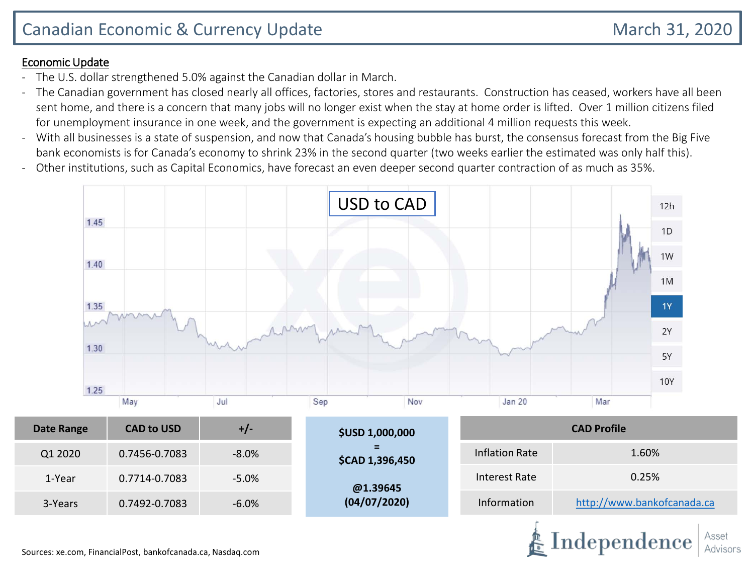#### Economic Update

- The U.S. dollar strengthened 5.0% against the Canadian dollar in March.
- The Canadian government has closed nearly all offices, factories, stores and restaurants. Construction has ceased, workers have all been sent home, and there is a concern that many jobs will no longer exist when the stay at home order is lifted. Over 1 million citizens filed for unemployment insurance in one week, and the government is expecting an additional 4 million requests this week.
- With all businesses is a state of suspension, and now that Canada's housing bubble has burst, the consensus forecast from the Big Five bank economists is for Canada's economy to shrink 23% in the second quarter (two weeks earlier the estimated was only half this).
- Other institutions, such as Capital Economics, have forecast an even deeper second quarter contraction of as much as 35%.

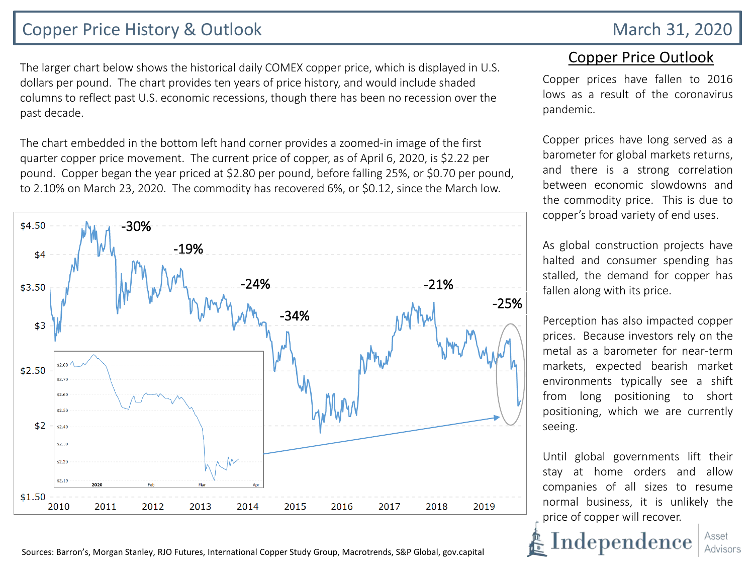## Copper Price History & Outlook March 31, 2020

The larger chart below shows the historical daily COMEX copper price, which is displayed in U.S. dollars per pound. The chart provides ten years of price history, and would include shaded columns to reflect past U.S. economic recessions, though there has been no recession over the past decade.

The chart embedded in the bottom left hand corner provides a zoomed-in image of the first quarter copper price movement. The current price of copper, as of April 6, 2020, is \$2.22 per pound. Copper began the year priced at \$2.80 per pound, before falling 25%, or \$0.70 per pound, to 2.10% on March 23, 2020. The commodity has recovered 6%, or \$0.12, since the March low.



### Copper Price Outlook

Copper prices have fallen to 2016 lows as a result of the coronavirus pandemic.

Copper prices have long served as a barometer for global markets returns, and there is a strong correlation between economic slowdowns and the commodity price. This is due to copper's broad variety of end uses.

As global construction projects have halted and consumer spending has stalled, the demand for copper has fallen along with its price.

Perception has also impacted copper prices. Because investors rely on the metal as a barometer for near-term markets, expected bearish market environments typically see a shift from long positioning to short positioning, which we are currently seeing.

Until global governments lift their stay at home orders and allow companies of all sizes to resume normal business, it is unlikely the price of copper will recover.

Asset

Advisors